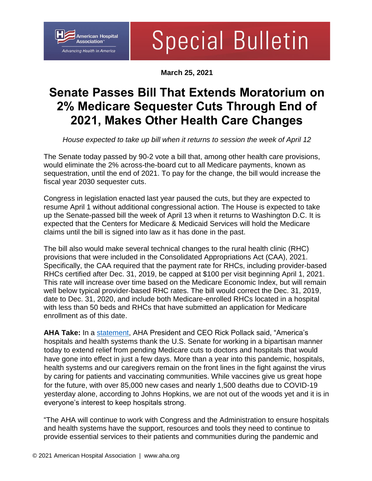## **American Hospital** Association<sup>®</sup> *Advancing Health in America*

## **Special Bulletin**

**March 25, 2021**

## **Senate Passes Bill That Extends Moratorium on 2% Medicare Sequester Cuts Through End of 2021, Makes Other Health Care Changes**

*House expected to take up bill when it returns to session the week of April 12* 

The Senate today passed by 90-2 vote a bill that, among other health care provisions, would eliminate the 2% across-the-board cut to all Medicare payments, known as sequestration, until the end of 2021. To pay for the change, the bill would increase the fiscal year 2030 sequester cuts.

Congress in legislation enacted last year paused the cuts, but they are expected to resume April 1 without additional congressional action. The House is expected to take up the Senate-passed bill the week of April 13 when it returns to Washington D.C. It is expected that the Centers for Medicare & Medicaid Services will hold the Medicare claims until the bill is signed into law as it has done in the past.

The bill also would make several technical changes to the rural health clinic (RHC) provisions that were included in the Consolidated Appropriations Act (CAA), 2021. Specifically, the CAA required that the payment rate for RHCs, including provider-based RHCs certified after Dec. 31, 2019, be capped at \$100 per visit beginning April 1, 2021. This rate will increase over time based on the Medicare Economic Index, but will remain well below typical provider-based RHC rates. The bill would correct the Dec. 31, 2019, date to Dec. 31, 2020, and include both Medicare-enrolled RHCs located in a hospital with less than 50 beds and RHCs that have submitted an application for Medicare enrollment as of this date.

**AHA Take:** In a [statement,](https://www.aha.org/press-releases/2021-03-25-aha-statement-senate-passage-medicare-sequester-relief-legislation) AHA President and CEO Rick Pollack said, "America's hospitals and health systems thank the U.S. Senate for working in a bipartisan manner today to extend relief from pending Medicare cuts to doctors and hospitals that would have gone into effect in just a few days. More than a year into this pandemic, hospitals, health systems and our caregivers remain on the front lines in the fight against the virus by caring for patients and vaccinating communities. While vaccines give us great hope for the future, with over 85,000 new cases and nearly 1,500 deaths due to COVID-19 yesterday alone, according to Johns Hopkins, we are not out of the woods yet and it is in everyone's interest to keep hospitals strong.

"The AHA will continue to work with Congress and the Administration to ensure hospitals and health systems have the support, resources and tools they need to continue to provide essential services to their patients and communities during the pandemic and